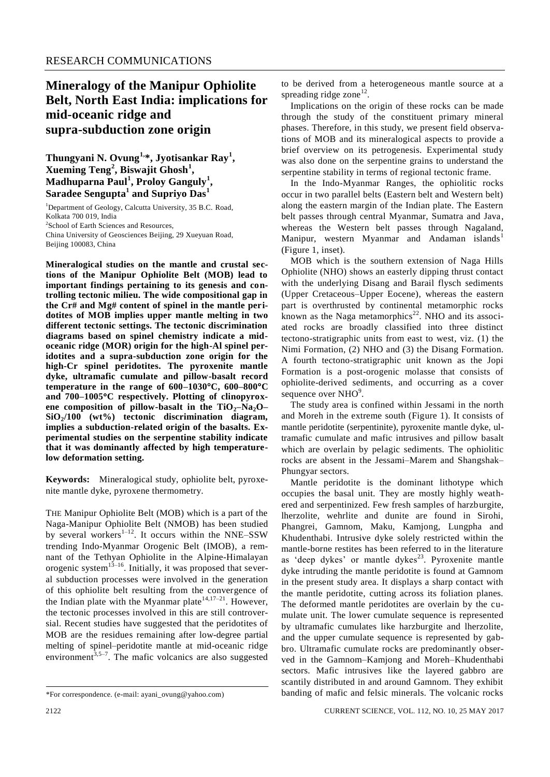## **Mineralogy of the Manipur Ophiolite Belt, North East India: implications for mid-oceanic ridge and supra-subduction zone origin**

**Thungyani N. Ovung1, \*, Jyotisankar Ray<sup>1</sup> , Xueming Teng<sup>2</sup> , Biswajit Ghosh<sup>1</sup> , Madhuparna Paul<sup>1</sup> , Proloy Ganguly<sup>1</sup> , Saradee Sengupta<sup>1</sup> and Supriyo Das<sup>1</sup>**

<sup>1</sup>Department of Geology, Calcutta University, 35 B.C. Road, Kolkata 700 019, India 2 School of Earth Sciences and Resources, China University of Geosciences Beijing, 29 Xueyuan Road, Beijing 100083, China

**Mineralogical studies on the mantle and crustal sections of the Manipur Ophiolite Belt (MOB) lead to important findings pertaining to its genesis and controlling tectonic milieu. The wide compositional gap in the Cr# and Mg# content of spinel in the mantle peridotites of MOB implies upper mantle melting in two different tectonic settings. The tectonic discrimination diagrams based on spinel chemistry indicate a midoceanic ridge (MOR) origin for the high-Al spinel peridotites and a supra-subduction zone origin for the high-Cr spinel peridotites. The pyroxenite mantle dyke, ultramafic cumulate and pillow-basalt record temperature in the range of 600–1030C, 600–800C and 700–1005C respectively. Plotting of clinopyrox**ene composition of pillow-basalt in the  $TiO<sub>2</sub>–Na<sub>2</sub>O-$ **SiO2/100 (wt%) tectonic discrimination diagram, implies a subduction-related origin of the basalts. Experimental studies on the serpentine stability indicate that it was dominantly affected by high temperaturelow deformation setting.**

**Keywords:** Mineralogical study, ophiolite belt, pyroxenite mantle dyke, pyroxene thermometry.

THE Manipur Ophiolite Belt (MOB) which is a part of the Naga-Manipur Ophiolite Belt (NMOB) has been studied by several workers $1-12$ . It occurs within the NNE–SSW trending Indo-Myanmar Orogenic Belt (IMOB), a remnant of the Tethyan Ophiolite in the Alpine-Himalayan orogenic system $^{13-16}$ . Initially, it was proposed that several subduction processes were involved in the generation of this ophiolite belt resulting from the convergence of the Indian plate with the Myanmar plate<sup>14,17–21</sup>. However, the tectonic processes involved in this are still controversial. Recent studies have suggested that the peridotites of MOB are the residues remaining after low-degree partial melting of spinel–peridotite mantle at mid-oceanic ridge environment<sup>3,5-7</sup>. The mafic volcanics are also suggested

to be derived from a heterogeneous mantle source at a spreading ridge zone<sup>12</sup>.

Implications on the origin of these rocks can be made through the study of the constituent primary mineral phases. Therefore, in this study, we present field observations of MOB and its mineralogical aspects to provide a brief overview on its petrogenesis. Experimental study was also done on the serpentine grains to understand the serpentine stability in terms of regional tectonic frame.

In the Indo-Myanmar Ranges, the ophiolitic rocks occur in two parallel belts (Eastern belt and Western belt) along the eastern margin of the Indian plate. The Eastern belt passes through central Myanmar, Sumatra and Java, whereas the Western belt passes through Nagaland, Manipur, western Myanmar and Andaman islands<sup>1</sup> (Figure 1, inset).

MOB which is the southern extension of Naga Hills Ophiolite (NHO) shows an easterly dipping thrust contact with the underlying Disang and Barail flysch sediments (Upper Cretaceous–Upper Eocene), whereas the eastern part is overthrusted by continental metamorphic rocks known as the Naga metamorphics<sup>22</sup>. NHO and its associated rocks are broadly classified into three distinct tectono-stratigraphic units from east to west, viz. (1) the Nimi Formation, (2) NHO and (3) the Disang Formation. A fourth tectono-stratigraphic unit known as the Jopi Formation is a post-orogenic molasse that consists of ophiolite-derived sediments, and occurring as a cover sequence over NHO<sup>9</sup>.

The study area is confined within Jessami in the north and Moreh in the extreme south (Figure 1). It consists of mantle peridotite (serpentinite), pyroxenite mantle dyke, ultramafic cumulate and mafic intrusives and pillow basalt which are overlain by pelagic sediments. The ophiolitic rocks are absent in the Jessami–Marem and Shangshak– Phungyar sectors.

Mantle peridotite is the dominant lithotype which occupies the basal unit. They are mostly highly weathered and serpentinized. Few fresh samples of harzburgite, lherzolite, wehrlite and dunite are found in Sirohi, Phangrei, Gamnom, Maku, Kamjong, Lungpha and Khudenthabi. Intrusive dyke solely restricted within the mantle-borne restites has been referred to in the literature as 'deep dykes' or mantle dykes $^{23}$ . Pyroxenite mantle dyke intruding the mantle peridotite is found at Gamnom in the present study area. It displays a sharp contact with the mantle peridotite, cutting across its foliation planes. The deformed mantle peridotites are overlain by the cumulate unit. The lower cumulate sequence is represented by ultramafic cumulates like harzburgite and lherzolite, and the upper cumulate sequence is represented by gabbro. Ultramafic cumulate rocks are predominantly observed in the Gamnom–Kamjong and Moreh–Khudenthabi sectors. Mafic intrusives like the layered gabbro are scantily distributed in and around Gamnom. They exhibit banding of mafic and felsic minerals. The volcanic rocks

<sup>\*</sup>For correspondence. (e-mail: ayani\_ovung@yahoo.com)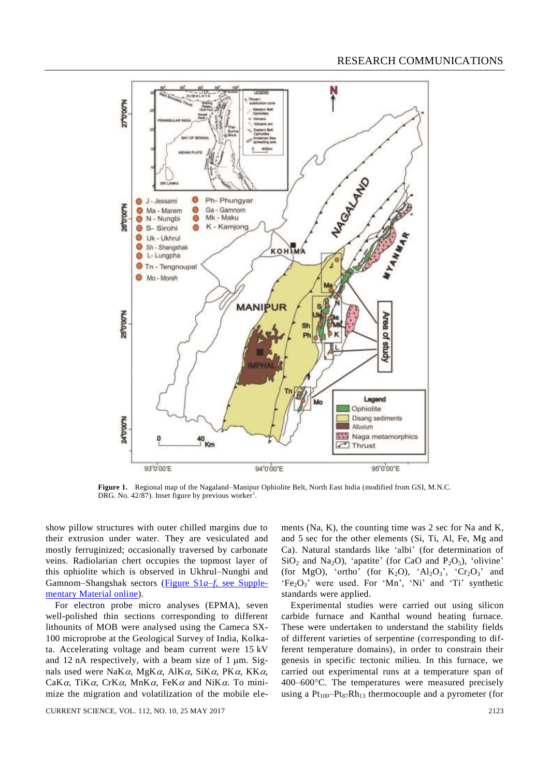

**Figure 1.** Regional map of the Nagaland–Manipur Ophiolite Belt, North East India (modified from GSI, M.N.C. DRG. No. 42/87). Inset figure by previous worker<sup>1</sup>.

show pillow structures with outer chilled margins due to their extrusion under water. They are vesiculated and mostly ferruginized; occasionally traversed by carbonate veins. Radiolarian chert occupies the topmost layer of this ophiolite which is observed in Ukhrul–Nungbi and Gamnom–Shangshak sectors (Figure S1*a*–*f*[, see Supple](http://www.currentscience.ac.in/Volumes/112/10/2122-suppl.pdf)[mentary Material](http://www.currentscience.ac.in/Volumes/112/10/2122-suppl.pdf) online).

For electron probe micro analyses (EPMA), seven well-polished thin sections corresponding to different lithounits of MOB were analysed using the Cameca SX-100 microprobe at the Geological Survey of India, Kolkata. Accelerating voltage and beam current were 15 kV and 12 nA respectively, with a beam size of  $1 \mu m$ . Signals used were NaK $\alpha$ , MgK $\alpha$ , AlK $\alpha$ , SiK $\alpha$ , PK $\alpha$ , KK $\alpha$ , CaK $\alpha$ , TiK $\alpha$ , CrK $\alpha$ , MnK $\alpha$ , FeK $\alpha$  and NiK $\alpha$ . To minimize the migration and volatilization of the mobile elements (Na, K), the counting time was 2 sec for Na and K, and 5 sec for the other elements (Si, Ti, Al, Fe, Mg and Ca). Natural standards like 'albi' (for determination of  $SiO<sub>2</sub>$  and Na<sub>2</sub>O), 'apatite' (for CaO and P<sub>2</sub>O<sub>5</sub>), 'olivine' (for MgO), 'ortho' (for K<sub>2</sub>O), ' $Al_2O_3$ ', ' $Cr_2O_3$ ' and  $'Fe<sub>2</sub>O<sub>3</sub>'$  were used. For 'Mn', 'Ni' and 'Ti' synthetic standards were applied.

Experimental studies were carried out using silicon carbide furnace and Kanthal wound heating furnace. These were undertaken to understand the stability fields of different varieties of serpentine (corresponding to different temperature domains), in order to constrain their genesis in specific tectonic milieu. In this furnace, we carried out experimental runs at a temperature span of 400–600°C. The temperatures were measured precisely using a  $Pt_{100}-Pt_{87}Rh_{13}$  thermocouple and a pyrometer (for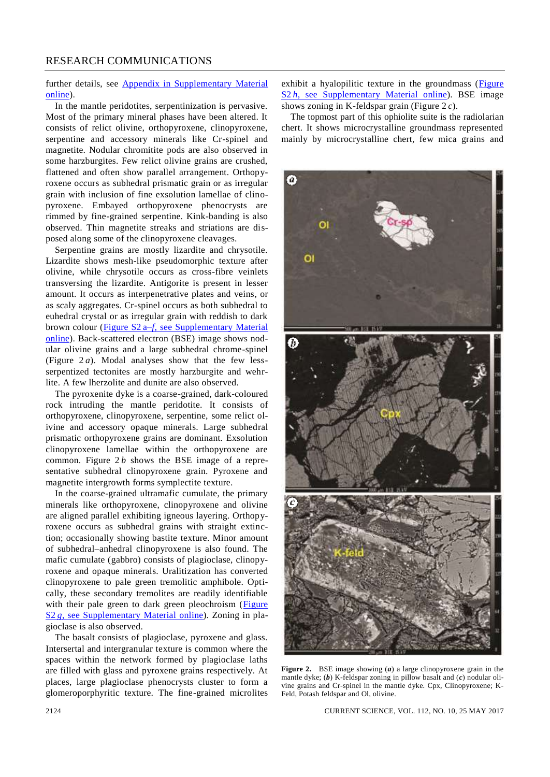## RESEARCH COMMUNICATIONS

further details, see [Appendix in Supplementary Material](http://www.currentscience.ac.in/Volumes/112/10/2122-suppl.pdf) [online\)](http://www.currentscience.ac.in/Volumes/112/10/2122-suppl.pdf).

In the mantle peridotites, serpentinization is pervasive. Most of the primary mineral phases have been altered. It consists of relict olivine, orthopyroxene, clinopyroxene, serpentine and accessory minerals like Cr-spinel and magnetite. Nodular chromitite pods are also observed in some harzburgites. Few relict olivine grains are crushed, flattened and often show parallel arrangement. Orthopyroxene occurs as subhedral prismatic grain or as irregular grain with inclusion of fine exsolution lamellae of clinopyroxene. Embayed orthopyroxene phenocrysts are rimmed by fine-grained serpentine. Kink-banding is also observed. Thin magnetite streaks and striations are disposed along some of the clinopyroxene cleavages.

Serpentine grains are mostly lizardite and chrysotile. Lizardite shows mesh-like pseudomorphic texture after olivine, while chrysotile occurs as cross-fibre veinlets transversing the lizardite. Antigorite is present in lesser amount. It occurs as interpenetrative plates and veins, or as scaly aggregates. Cr-spinel occurs as both subhedral to euhedral crystal or as irregular grain with reddish to dark brown colour (Figure S2 a–*f*[, see Supplementary Material](http://www.currentscience.ac.in/Volumes/112/10/2122-suppl.pdf) [online\)](http://www.currentscience.ac.in/Volumes/112/10/2122-suppl.pdf). Back-scattered electron (BSE) image shows nodular olivine grains and a large subhedral chrome-spinel (Figure  $2a$ ). Modal analyses show that the few lessserpentized tectonites are mostly harzburgite and wehrlite. A few lherzolite and dunite are also observed.

The pyroxenite dyke is a coarse-grained, dark-coloured rock intruding the mantle peridotite. It consists of orthopyroxene, clinopyroxene, serpentine, some relict olivine and accessory opaque minerals. Large subhedral prismatic orthopyroxene grains are dominant. Exsolution clinopyroxene lamellae within the orthopyroxene are common. Figure 2 *b* shows the BSE image of a representative subhedral clinopyroxene grain. Pyroxene and magnetite intergrowth forms symplectite texture.

In the coarse-grained ultramafic cumulate, the primary minerals like orthopyroxene, clinopyroxene and olivine are aligned parallel exhibiting igneous layering. Orthopyroxene occurs as subhedral grains with straight extinction; occasionally showing bastite texture. Minor amount of subhedral–anhedral clinopyroxene is also found. The mafic cumulate (gabbro) consists of plagioclase, clinopyroxene and opaque minerals. Uralitization has converted clinopyroxene to pale green tremolitic amphibole. Optically, these secondary tremolites are readily identifiable with their pale green to dark green pleochroism (Figure S2 *g*[, see Supplementary Material](http://www.currentscience.ac.in/Volumes/112/10/2122-suppl.pdf) online). Zoning in plagioclase is also observed.

The basalt consists of plagioclase, pyroxene and glass. Intersertal and intergranular texture is common where the spaces within the network formed by plagioclase laths are filled with glass and pyroxene grains respectively. At places, large plagioclase phenocrysts cluster to form a glomeroporphyritic texture. The fine-grained microlites exhibit a hyalopilitic texture in the groundmass [\(Figure](http://www.currentscience.ac.in/Volumes/112/10/2122-suppl.pdf)  S2 *h*[, see Supplementary Material](http://www.currentscience.ac.in/Volumes/112/10/2122-suppl.pdf) online). BSE image shows zoning in K-feldspar grain (Figure 2 *c*).

The topmost part of this ophiolite suite is the radiolarian chert. It shows microcrystalline groundmass represented mainly by microcrystalline chert, few mica grains and



**Figure 2.** BSE image showing (*a*) a large clinopyroxene grain in the mantle dyke; (*b*) K-feldspar zoning in pillow basalt and (*c*) nodular olivine grains and Cr-spinel in the mantle dyke. Cpx, Clinopyroxene; K-Feld, Potash feldspar and Ol, olivine.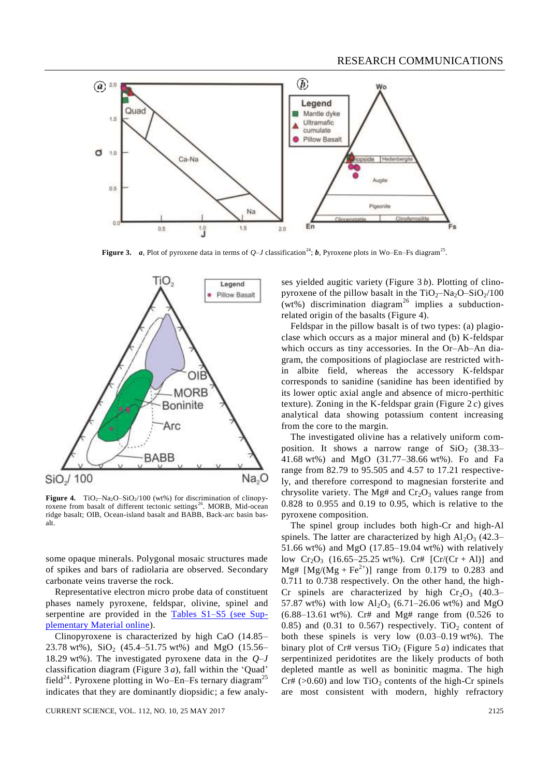

**Figure 3.** *a*, Plot of pyroxene data in terms of  $Q-J$  classification<sup>24</sup>; *b*, Pyroxene plots in Wo–En–Fs diagram<sup>25</sup>.



**Figure 4.** TiO<sub>2</sub>–Na<sub>2</sub>O–SiO<sub>2</sub>/100 (wt%) for discrimination of clinopyroxene from basalt of different tectonic settings<sup>26</sup>. MORB, Mid-ocean ridge basalt; OIB, Ocean-island basalt and BABB, Back-arc basin basalt.

some opaque minerals. Polygonal mosaic structures made of spikes and bars of radiolaria are observed. Secondary carbonate veins traverse the rock.

Representative electron micro probe data of constituent phases namely pyroxene, feldspar, olivine, spinel and serpentine are provided in the [Tables S1–S5](http://www.currentscience.ac.in/Volumes/112/10/2122-suppl.pdf) (see Sup[plementary Material online\)](http://www.currentscience.ac.in/Volumes/112/10/2122-suppl.pdf).

Clinopyroxene is characterized by high CaO (14.85– 23.78 wt%),  $SiO_2$  (45.4–51.75 wt%) and MgO (15.56– 18.29 wt%). The investigated pyroxene data in the *Q*–*J* classification diagram (Figure 3 *a*), fall within the 'Quad' field<sup>24</sup>. Pyroxene plotting in Wo–En–Fs ternary diagram<sup>25</sup> indicates that they are dominantly diopsidic; a few analy-

CURRENT SCIENCE, VOL. 112, NO. 10, 25 MAY 2017 2125

ses yielded augitic variety (Figure 3 *b*). Plotting of clinopyroxene of the pillow basalt in the  $TiO<sub>2</sub>–Na<sub>2</sub>O–SiO<sub>2</sub>/100$ (wt%) discrimination diagram<sup>26</sup> implies a subductionrelated origin of the basalts (Figure 4).

Feldspar in the pillow basalt is of two types: (a) plagioclase which occurs as a major mineral and (b) K-feldspar which occurs as tiny accessories. In the Or–Ab–An diagram, the compositions of plagioclase are restricted within albite field, whereas the accessory K-feldspar corresponds to sanidine (sanidine has been identified by its lower optic axial angle and absence of micro-perthitic texture). Zoning in the K-feldspar grain (Figure 2 *c*) gives analytical data showing potassium content increasing from the core to the margin.

The investigated olivine has a relatively uniform composition. It shows a narrow range of  $SiO<sub>2</sub>$  (38.33– 41.68 wt%) and MgO (31.77–38.66 wt%). Fo and Fa range from 82.79 to 95.505 and 4.57 to 17.21 respectively, and therefore correspond to magnesian forsterite and chrysolite variety. The Mg# and  $Cr_2O_3$  values range from 0.828 to 0.955 and 0.19 to 0.95, which is relative to the pyroxene composition.

The spinel group includes both high-Cr and high-Al spinels. The latter are characterized by high  $Al_2O_3$  (42.3– 51.66 wt%) and MgO (17.85–19.04 wt%) with relatively low  $Cr_2O_3$  (16.65–25.25 wt%). Cr#  $[Cr/(Cr + Al)]$  and Mg#  $[Mg/(Mg + Fe^{2+})]$  range from 0.179 to 0.283 and 0.711 to 0.738 respectively. On the other hand, the high-Cr spinels are characterized by high  $Cr_2O_3$  (40.3– 57.87 wt%) with low  $Al_2O_3$  (6.71–26.06 wt%) and MgO (6.88–13.61 wt%). Cr# and Mg# range from (0.526 to 0.85) and (0.31 to 0.567) respectively. TiO<sub>2</sub> content of both these spinels is very low (0.03–0.19 wt%). The binary plot of Cr# versus  $TiO<sub>2</sub>$  (Figure 5 *a*) indicates that serpentinized peridotites are the likely products of both depleted mantle as well as boninitic magma. The high  $Cr# (>0.60)$  and low  $TiO<sub>2</sub>$  contents of the high-Cr spinels are most consistent with modern, highly refractory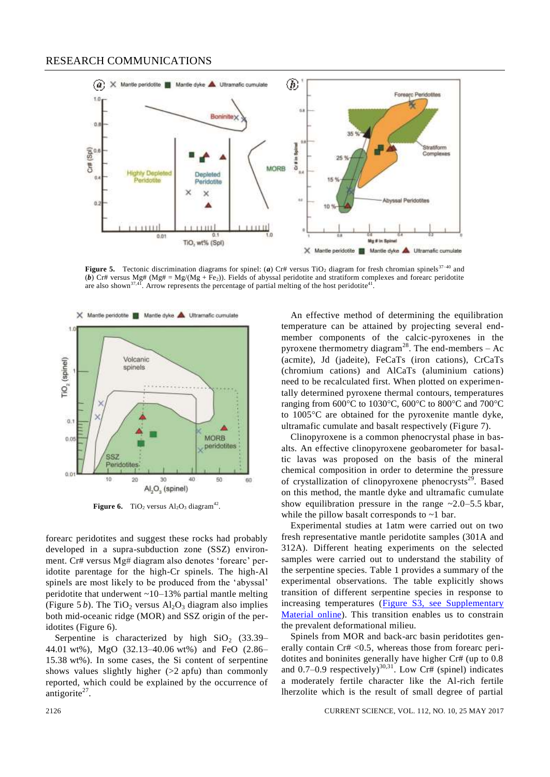

**Figure 5.** Tectonic discrimination diagrams for spinel: (*a*) Cr# versus TiO<sub>2</sub> diagram for fresh chromian spinels<sup>37–40</sup> and (b) Cr# versus Mg# (Mg# = Mg/(Mg + Fe<sub>2</sub>)). Fields of abyssal peridotite and stratiform complexes and forearc peridotite are also shown<sup>37,41</sup>. Arrow represents the percentage of partial melting of the host peridotite<sup>41</sup>



**Figure 6.** TiO<sub>2</sub> versus  $\text{Al}_2\text{O}_3$  diagram<sup>42</sup>.

forearc peridotites and suggest these rocks had probably developed in a supra-subduction zone (SSZ) environment. Cr# versus Mg# diagram also denotes 'forearc' peridotite parentage for the high-Cr spinels. The high-Al spinels are most likely to be produced from the 'abyssal' peridotite that underwent ~10–13% partial mantle melting (Figure 5 *b*). The TiO<sub>2</sub> versus  $Al_2O_3$  diagram also implies both mid-oceanic ridge (MOR) and SSZ origin of the peridotites (Figure 6).

Serpentine is characterized by high  $SiO<sub>2</sub>$  (33.39– 44.01 wt%), MgO (32.13–40.06 wt%) and FeO (2.86– 15.38 wt%). In some cases, the Si content of serpentine shows values slightly higher  $(>2$  apfu) than commonly reported, which could be explained by the occurrence of antigorite $^{27}$ .

An effective method of determining the equilibration temperature can be attained by projecting several endmember components of the calcic-pyroxenes in the pyroxene thermometry diagram<sup>28</sup>. The end-members  $-$  Ac (acmite), Jd (jadeite), FeCaTs (iron cations), CrCaTs (chromium cations) and AlCaTs (aluminium cations) need to be recalculated first. When plotted on experimentally determined pyroxene thermal contours, temperatures ranging from  $600^{\circ}$ C to  $1030^{\circ}$ C,  $600^{\circ}$ C to  $800^{\circ}$ C and  $700^{\circ}$ C to 1005C are obtained for the pyroxenite mantle dyke, ultramafic cumulate and basalt respectively (Figure 7).

Clinopyroxene is a common phenocrystal phase in basalts. An effective clinopyroxene geobarometer for basaltic lavas was proposed on the basis of the mineral chemical composition in order to determine the pressure of crystallization of clinopyroxene phenocrysts<sup>29</sup>. Based on this method, the mantle dyke and ultramafic cumulate show equilibration pressure in the range  $\sim$  2.0–5.5 kbar, while the pillow basalt corresponds to  $\sim$ 1 bar.

Experimental studies at 1atm were carried out on two fresh representative mantle peridotite samples (301A and 312A). Different heating experiments on the selected samples were carried out to understand the stability of the serpentine species. Table 1 provides a summary of the experimental observations. The table explicitly shows transition of different serpentine species in response to increasing temperatures [\(Figure S3, see Supplementary](http://www.currentscience.ac.in/Volumes/112/10/2122-suppl.pdf)  [Material](http://www.currentscience.ac.in/Volumes/112/10/2122-suppl.pdf) online). This transition enables us to constrain the prevalent deformational milieu.

Spinels from MOR and back-arc basin peridotites generally contain Cr# <0.5, whereas those from forearc peridotites and boninites generally have higher Cr# (up to 0.8 and 0.7–0.9 respectively)<sup>30,31</sup>. Low Cr# (spinel) indicates a moderately fertile character like the Al-rich fertile lherzolite which is the result of small degree of partial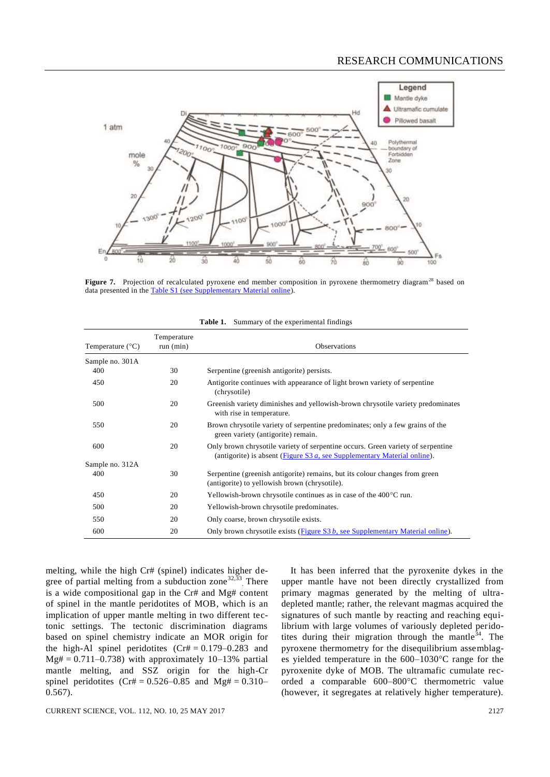

Figure 7. Projection of recalculated pyroxene end member composition in pyroxene thermometry diagram<sup>28</sup> based on data presented in th[e Table S1 \(see Supplementary Material online\)](http://www.currentscience.ac.in/Volumes/112/10/2122-suppl.pdf).

| Temperature $(^{\circ}C)$ | Temperature<br>run (min) | <b>Observations</b>                                                                                                                                            |
|---------------------------|--------------------------|----------------------------------------------------------------------------------------------------------------------------------------------------------------|
| Sample no. 301A           |                          |                                                                                                                                                                |
| 400                       | 30                       | Serpentine (greenish antigorite) persists.                                                                                                                     |
| 450                       | 20                       | Antigorite continues with appearance of light brown variety of serpentine<br>(chrysotile)                                                                      |
| 500                       | 20                       | Greenish variety diminishes and yellowish-brown chrysotile variety predominates<br>with rise in temperature.                                                   |
| 550                       | 20                       | Brown chrysotile variety of serpentine predominates; only a few grains of the<br>green variety (antigorite) remain.                                            |
| 600                       | 20                       | Only brown chrysotile variety of serpentine occurs. Green variety of serpentine<br>(antigorite) is absent (Figure S3 $a$ , see Supplementary Material online). |
| Sample no. 312A           |                          |                                                                                                                                                                |
| 400                       | 30                       | Serpentine (greenish antigorite) remains, but its colour changes from green<br>(antigorite) to yellowish brown (chrysotile).                                   |
| 450                       | 20                       | Yellowish-brown chrysotile continues as in case of the 400 °C run.                                                                                             |
| 500                       | 20                       | Yellowish-brown chrysotile predominates.                                                                                                                       |
| 550                       | 20                       | Only coarse, brown chrysotile exists.                                                                                                                          |
| 600                       | 20                       | Only brown chrysotile exists (Figure S3 b, see Supplementary Material online).                                                                                 |

**Table 1.** Summary of the experimental findings

melting, while the high Cr# (spinel) indicates higher degree of partial melting from a subduction zone<sup>32,33</sup>. There is a wide compositional gap in the Cr# and Mg# content of spinel in the mantle peridotites of MOB, which is an implication of upper mantle melting in two different tectonic settings. The tectonic discrimination diagrams based on spinel chemistry indicate an MOR origin for the high-Al spinel peridotites  $(Cr# = 0.179-0.283$  and  $Mg# = 0.711-0.738$ ) with approximately 10-13% partial mantle melting, and SSZ origin for the high-Cr spinel peridotites  $(Cr# = 0.526-0.85$  and  $Mg# = 0.310-$ 0.567).

upper mantle have not been directly crystallized from primary magmas generated by the melting of ultradepleted mantle; rather, the relevant magmas acquired the signatures of such mantle by reacting and reaching equilibrium with large volumes of variously depleted peridotites during their migration through the mantle $34$ . The pyroxene thermometry for the disequilibrium assemblages yielded temperature in the  $600-1030$ °C range for the pyroxenite dyke of MOB. The ultramafic cumulate recorded a comparable 600–800°C thermometric value (however, it segregates at relatively higher temperature).

It has been inferred that the pyroxenite dykes in the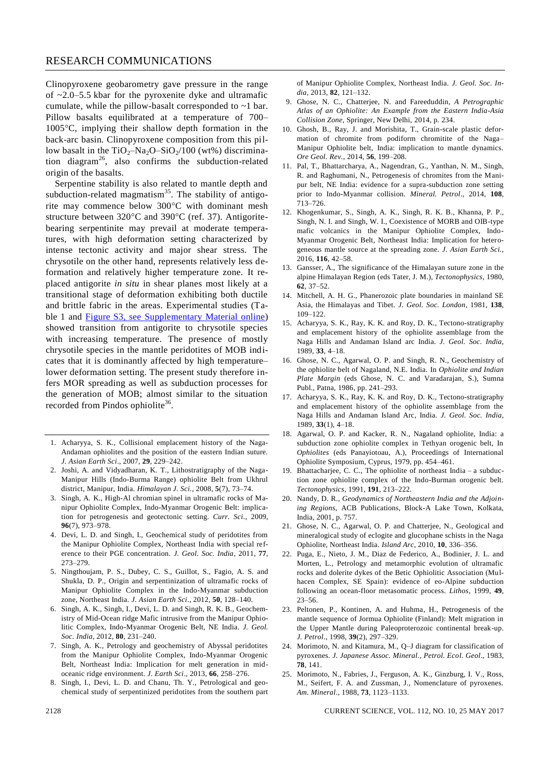Clinopyroxene geobarometry gave pressure in the range of  $\sim$ 2.0–5.5 kbar for the pyroxenite dyke and ultramafic cumulate, while the pillow-basalt corresponded to ~1 bar. Pillow basalts equilibrated at a temperature of 700– 1005C, implying their shallow depth formation in the back-arc basin. Clinopyroxene composition from this pillow basalt in the  $TiO<sub>2</sub>-Na<sub>2</sub>O-SiO<sub>2</sub>/100$  (wt%) discrimination diagram<sup>26</sup>, also confirms the subduction-related origin of the basalts.

Serpentine stability is also related to mantle depth and subduction-related magmatism<sup>35</sup>. The stability of antigorite may commence below 300°C with dominant mesh structure between  $320^{\circ}$ C and  $390^{\circ}$ C (ref. 37). Antigoritebearing serpentinite may prevail at moderate temperatures, with high deformation setting characterized by intense tectonic activity and major shear stress. The chrysotile on the other hand, represents relatively less deformation and relatively higher temperature zone. It replaced antigorite *in situ* in shear planes most likely at a transitional stage of deformation exhibiting both ductile and brittle fabric in the areas. Experimental studies (Table 1 and **Figure S3**, see Supplementary Material online) showed transition from antigorite to chrysotile species with increasing temperature. The presence of mostly chrysotile species in the mantle peridotites of MOB indicates that it is dominantly affected by high temperature– lower deformation setting. The present study therefore infers MOR spreading as well as subduction processes for the generation of MOB; almost similar to the situation recorded from Pindos ophiolite<sup>36</sup>.

- 1. Acharyya, S. K., Collisional emplacement history of the Naga-Andaman ophiolites and the position of the eastern Indian suture. *J. Asian Earth Sci*., 2007, **29**, 229–242.
- 2. Joshi, A. and Vidyadharan, K. T., Lithostratigraphy of the Naga-Manipur Hills (Indo-Burma Range) ophiolite Belt from Ukhrul district, Manipur, India. *Himalayan J. Sci.*, 2008, **5**(7), 73–74.
- 3. Singh, A. K., High-Al chromian spinel in ultramafic rocks of Manipur Ophiolite Complex, Indo-Myanmar Orogenic Belt: implication for petrogenesis and geotectonic setting. *Curr. Sci*., 2009, **96**(7), 973–978.
- 4. Devi, L. D. and Singh, I., Geochemical study of peridotites from the Manipur Ophiolite Complex, Northeast India with special reference to their PGE concentration. *J. Geol. Soc. India*, 2011, **77**, 273–279.
- 5. Ningthoujam, P. S., Dubey, C. S., Guillot, S., Fagio, A. S. and Shukla, D. P., Origin and serpentinization of ultramafic rocks of Manipur Ophiolite Complex in the Indo-Myanmar subduction zone, Northeast India. *J. Asian Earth Sci*., 2012, **50**, 128–140.
- 6. Singh, A. K., Singh, I., Devi, L. D. and Singh, R. K. B., Geochemistry of Mid-Ocean ridge Mafic intrusive from the Manipur Ophiolitic Complex, Indo-Myanmar Orogenic Belt, NE India. *J. Geol. Soc. India*, 2012, **80**, 231–240.
- 7. Singh, A. K., Petrology and geochemistry of Abyssal peridotites from the Manipur Ophiolite Complex, Indo-Myanmar Orogenic Belt, Northeast India: Implication for melt generation in midoceanic ridge environment. *J. Earth Sci*., 2013, **66**, 258–276.
- 8. Singh, I., Devi, L. D. and Chanu, Th. Y., Petrological and geochemical study of serpentinized peridotites from the southern part

of Manipur Ophiolite Complex, Northeast India. *J. Geol. Soc. India*, 2013, **82**, 121–132.

- 9. Ghose, N. C., Chatterjee, N. and Fareeduddin, *A Petrographic Atlas of an Ophiolite: An Example from the Eastern India-Asia Collision Zone*, Springer, New Delhi, 2014, p. 234.
- 10. Ghosh, B., Ray, J. and Morishita, T., Grain-scale plastic deformation of chromite from podiform chromitite of the Naga– Manipur Ophiolite belt, India: implication to mantle dynamics. *Ore Geol. Rev.*, 2014, **56**, 199–208.
- 11. Pal, T., Bhattarcharya, A., Nagendran, G., Yanthan, N. M., Singh, R. and Raghumani, N., Petrogenesis of chromites from the Manipur belt, NE India: evidence for a supra-subduction zone setting prior to Indo-Myanmar collision. *Mineral. Petrol*., 2014, **108**, 713–726.
- 12. Khogenkumar, S., Singh, A. K., Singh, R. K. B., Khanna, P. P., Singh, N. I. and Singh, W. I., Coexistence of MORB and OIB-type mafic volcanics in the Manipur Ophiolite Complex, Indo-Myanmar Orogenic Belt, Northeast India: Implication for heterogeneous mantle source at the spreading zone. *J. Asian Earth Sci.*, 2016, **116**, 42–58.
- 13. Gansser, A., The significance of the Himalayan suture zone in the alpine Himalayan Region (eds Tater, J. M.), *Tectonophysics*, 1980, **62**, 37–52.
- 14. Mitchell, A. H. G., Phanerozoic plate boundaries in mainland SE Asia, the Himalayas and Tibet. *J. Geol. Soc. London*, 1981, **138**, 109–122.
- 15. Acharyya, S. K., Ray, K. K. and Roy, D. K., Tectono-stratigraphy and emplacement history of the ophiolite assemblage from the Naga Hills and Andaman Island arc India. *J. Geol. Soc. India*, 1989, **33**, 4–18.
- 16. Ghose, N. C., Agarwal, O. P. and Singh, R. N., Geochemistry of the ophiolite belt of Nagaland, N.E. India. In *Ophiolite and Indian Plate Margin* (eds Ghose, N. C. and Varadarajan, S.), Sumna Publ., Patna, 1986, pp. 241–293.
- 17. Acharyya, S. K., Ray, K. K. and Roy, D. K., Tectono-stratigraphy and emplacement history of the ophiolite assemblage from the Naga Hills and Andaman Island Arc, India. *J. Geol. Soc. India*, 1989, **33**(1), 4–18.
- 18. Agarwal, O. P. and Kacker, R. N., Nagaland ophiolite, India: a subduction zone ophiolite complex in Tethyan orogenic belt, In *Ophiolites* (eds Panayiotoau, A.), Proceedings of International Ophiolite Symposium, Cyprus, 1979, pp. 454–461.
- 19. Bhattacharjee, C. C., The ophiolite of northeast India a subduction zone ophiolite complex of the Indo-Burman orogenic belt. *Tectonophysics*, 1991, **191**, 213–222.
- 20. Nandy, D. R., *Geodynamics of Northeastern India and the Adjoining Regions*, ACB Publications, Block-A Lake Town, Kolkata, India, 2001, p. 757.
- 21. Ghose, N. C., Agarwal, O. P. and Chatterjee, N., Geological and mineralogical study of eclogite and glucophane schists in the Naga Ophiolite, Northeast India. *Island Arc*, 2010, **10**, 336–356.
- 22. Puga, E., Nieto, J. M., Diaz de Federico, A., Bodinier, J. L. and Morten, L., Petrology and metamorphic evolution of ultramafic rocks and dolerite dykes of the Betic Ophiolitic Association (Mulhacen Complex, SE Spain): evidence of eo-Alpine subduction following an ocean-floor metasomatic process. *Lithos*, 1999, **49**, 23–56.
- 23. Peltonen, P., Kontinen, A. and Huhma, H., Petrogenesis of the mantle sequence of Jormua Ophiolite (Finland): Melt migration in the Upper Mantle during Paleoproterozoic continental break-up. *J. Petrol*., 1998, **39**(2), 297–329.
- 24. Morimoto, N. and Kitamura, M., Q–J diagram for classification of pyroxenes. *J. Japanese Assoc. Mineral., Petrol. Ecol. Geol*., 1983, **78**, 141.
- 25. Morimoto, N., Fabries, J., Ferguson, A. K., Ginzburg, I. V., Ross, M., Seifert, F. A. and Zussman, J., Nomenclature of pyroxenes. *Am. Mineral*., 1988, **73**, 1123–1133.